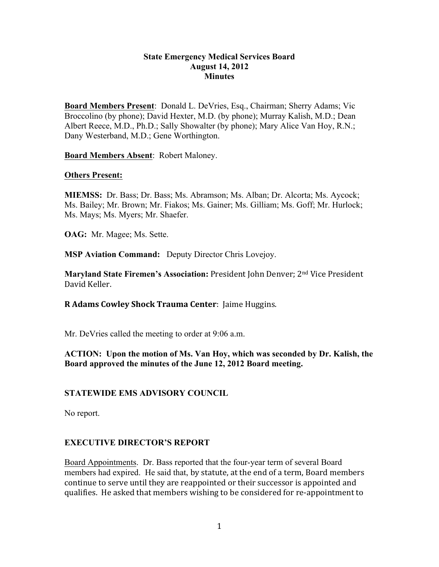### **State Emergency Medical Services Board August 14, 2012 Minutes**

**Board Members Present**: Donald L. DeVries, Esq., Chairman; Sherry Adams; Vic Broccolino (by phone); David Hexter, M.D. (by phone); Murray Kalish, M.D.; Dean Albert Reece, M.D., Ph.D.; Sally Showalter (by phone); Mary Alice Van Hoy, R.N.; Dany Westerband, M.D.; Gene Worthington.

**Board Members Absent**: Robert Maloney.

#### **Others Present:**

**MIEMSS:** Dr. Bass; Dr. Bass; Ms. Abramson; Ms. Alban; Dr. Alcorta; Ms. Aycock; Ms. Bailey; Mr. Brown; Mr. Fiakos; Ms. Gainer; Ms. Gilliam; Ms. Goff; Mr. Hurlock; Ms. Mays; Ms. Myers; Mr. Shaefer.

**OAG:** Mr. Magee; Ms. Sette.

**MSP Aviation Command:** Deputy Director Chris Lovejoy.

**Maryland State Firemen's Association:** President John Denver; 2<sup>nd</sup> Vice President David Keller.

**R Adams Cowley Shock Trauma Center:** Jaime Huggins.

Mr. DeVries called the meeting to order at 9:06 a.m.

**ACTION: Upon the motion of Ms. Van Hoy, which was seconded by Dr. Kalish, the Board approved the minutes of the June 12, 2012 Board meeting.**

### **STATEWIDE EMS ADVISORY COUNCIL**

No report.

### **EXECUTIVE DIRECTOR'S REPORT**

Board Appointments. Dr. Bass reported that the four-year term of several Board members had expired. He said that, by statute, at the end of a term, Board members continue to serve until they are reappointed or their successor is appointed and qualifies. He asked that members wishing to be considered for re-appointment to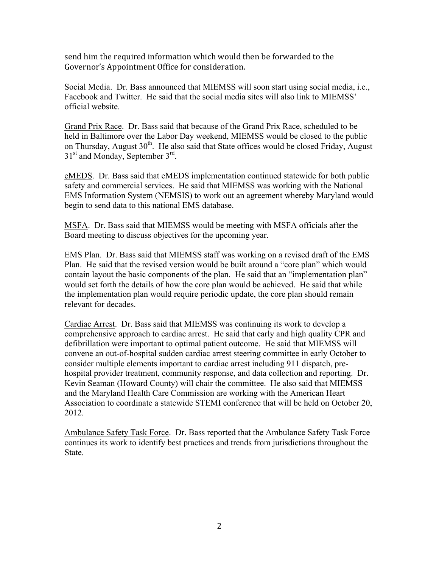send him the required information which would then be forwarded to the Governor's Appointment Office for consideration.

Social Media. Dr. Bass announced that MIEMSS will soon start using social media, i.e., Facebook and Twitter. He said that the social media sites will also link to MIEMSS' official website.

Grand Prix Race. Dr. Bass said that because of the Grand Prix Race, scheduled to be held in Baltimore over the Labor Day weekend, MIEMSS would be closed to the public on Thursday, August  $30<sup>th</sup>$ . He also said that State offices would be closed Friday, August  $31<sup>st</sup>$  and Monday, September  $3<sup>rd</sup>$ .

eMEDS. Dr. Bass said that eMEDS implementation continued statewide for both public safety and commercial services. He said that MIEMSS was working with the National EMS Information System (NEMSIS) to work out an agreement whereby Maryland would begin to send data to this national EMS database.

MSFA. Dr. Bass said that MIEMSS would be meeting with MSFA officials after the Board meeting to discuss objectives for the upcoming year.

EMS Plan. Dr. Bass said that MIEMSS staff was working on a revised draft of the EMS Plan. He said that the revised version would be built around a "core plan" which would contain layout the basic components of the plan. He said that an "implementation plan" would set forth the details of how the core plan would be achieved. He said that while the implementation plan would require periodic update, the core plan should remain relevant for decades.

Cardiac Arrest. Dr. Bass said that MIEMSS was continuing its work to develop a comprehensive approach to cardiac arrest. He said that early and high quality CPR and defibrillation were important to optimal patient outcome. He said that MIEMSS will convene an out-of-hospital sudden cardiac arrest steering committee in early October to consider multiple elements important to cardiac arrest including 911 dispatch, prehospital provider treatment, community response, and data collection and reporting. Dr. Kevin Seaman (Howard County) will chair the committee. He also said that MIEMSS and the Maryland Health Care Commission are working with the American Heart Association to coordinate a statewide STEMI conference that will be held on October 20, 2012.

Ambulance Safety Task Force. Dr. Bass reported that the Ambulance Safety Task Force continues its work to identify best practices and trends from jurisdictions throughout the State.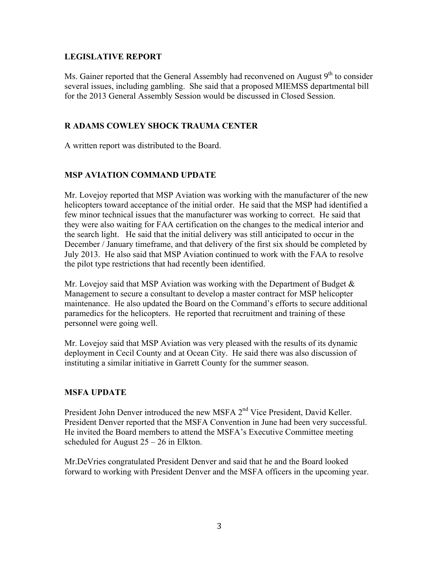## **LEGISLATIVE REPORT**

Ms. Gainer reported that the General Assembly had reconvened on August  $9<sup>th</sup>$  to consider several issues, including gambling. She said that a proposed MIEMSS departmental bill for the 2013 General Assembly Session would be discussed in Closed Session.

## **R ADAMS COWLEY SHOCK TRAUMA CENTER**

A written report was distributed to the Board.

# **MSP AVIATION COMMAND UPDATE**

Mr. Lovejoy reported that MSP Aviation was working with the manufacturer of the new helicopters toward acceptance of the initial order. He said that the MSP had identified a few minor technical issues that the manufacturer was working to correct. He said that they were also waiting for FAA certification on the changes to the medical interior and the search light. He said that the initial delivery was still anticipated to occur in the December / January timeframe, and that delivery of the first six should be completed by July 2013. He also said that MSP Aviation continued to work with the FAA to resolve the pilot type restrictions that had recently been identified.

Mr. Lovejoy said that MSP Aviation was working with the Department of Budget  $\&$ Management to secure a consultant to develop a master contract for MSP helicopter maintenance. He also updated the Board on the Command's efforts to secure additional paramedics for the helicopters. He reported that recruitment and training of these personnel were going well.

Mr. Lovejoy said that MSP Aviation was very pleased with the results of its dynamic deployment in Cecil County and at Ocean City. He said there was also discussion of instituting a similar initiative in Garrett County for the summer season.

# **MSFA UPDATE**

President John Denver introduced the new MSFA 2<sup>nd</sup> Vice President, David Keller. President Denver reported that the MSFA Convention in June had been very successful. He invited the Board members to attend the MSFA's Executive Committee meeting scheduled for August  $25 - 26$  in Elkton.

Mr.DeVries congratulated President Denver and said that he and the Board looked forward to working with President Denver and the MSFA officers in the upcoming year.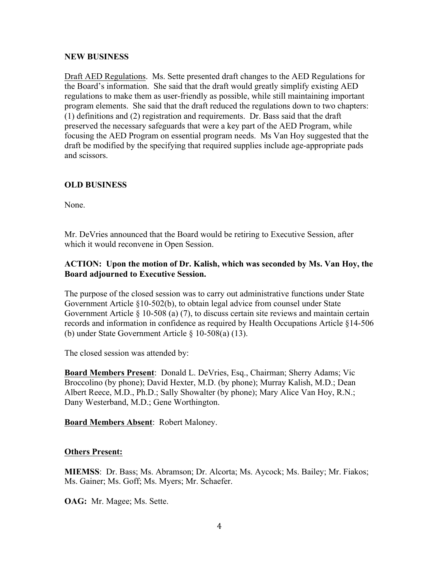### **NEW BUSINESS**

Draft AED Regulations. Ms. Sette presented draft changes to the AED Regulations for the Board's information. She said that the draft would greatly simplify existing AED regulations to make them as user-friendly as possible, while still maintaining important program elements. She said that the draft reduced the regulations down to two chapters: (1) definitions and (2) registration and requirements. Dr. Bass said that the draft preserved the necessary safeguards that were a key part of the AED Program, while focusing the AED Program on essential program needs. Ms Van Hoy suggested that the draft be modified by the specifying that required supplies include age-appropriate pads and scissors.

# **OLD BUSINESS**

None.

Mr. DeVries announced that the Board would be retiring to Executive Session, after which it would reconvene in Open Session.

## **ACTION: Upon the motion of Dr. Kalish, which was seconded by Ms. Van Hoy, the Board adjourned to Executive Session.**

The purpose of the closed session was to carry out administrative functions under State Government Article §10-502(b), to obtain legal advice from counsel under State Government Article § 10-508 (a) (7), to discuss certain site reviews and maintain certain records and information in confidence as required by Health Occupations Article §14-506 (b) under State Government Article § 10-508(a) (13).

The closed session was attended by:

**Board Members Present**: Donald L. DeVries, Esq., Chairman; Sherry Adams; Vic Broccolino (by phone); David Hexter, M.D. (by phone); Murray Kalish, M.D.; Dean Albert Reece, M.D., Ph.D.; Sally Showalter (by phone); Mary Alice Van Hoy, R.N.; Dany Westerband, M.D.; Gene Worthington.

**Board Members Absent**: Robert Maloney.

### **Others Present:**

**MIEMSS**: Dr. Bass; Ms. Abramson; Dr. Alcorta; Ms. Aycock; Ms. Bailey; Mr. Fiakos; Ms. Gainer; Ms. Goff; Ms. Myers; Mr. Schaefer.

**OAG:** Mr. Magee; Ms. Sette.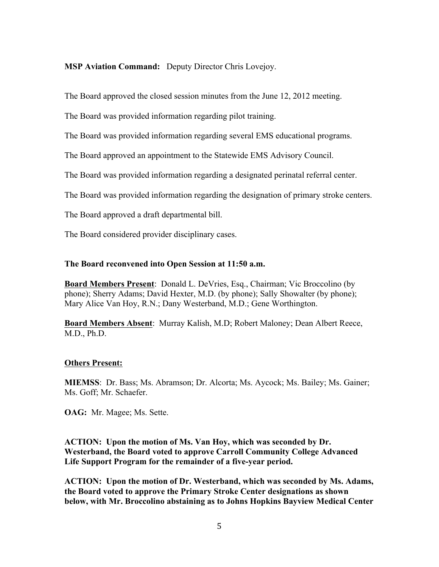### **MSP Aviation Command:** Deputy Director Chris Lovejoy.

The Board approved the closed session minutes from the June 12, 2012 meeting.

The Board was provided information regarding pilot training.

The Board was provided information regarding several EMS educational programs.

The Board approved an appointment to the Statewide EMS Advisory Council.

The Board was provided information regarding a designated perinatal referral center.

The Board was provided information regarding the designation of primary stroke centers.

The Board approved a draft departmental bill.

The Board considered provider disciplinary cases.

#### **The Board reconvened into Open Session at 11:50 a.m.**

**Board Members Present**: Donald L. DeVries, Esq., Chairman; Vic Broccolino (by phone); Sherry Adams; David Hexter, M.D. (by phone); Sally Showalter (by phone); Mary Alice Van Hoy, R.N.; Dany Westerband, M.D.; Gene Worthington.

**Board Members Absent**: Murray Kalish, M.D; Robert Maloney; Dean Albert Reece, M.D., Ph.D.

#### **Others Present:**

**MIEMSS**: Dr. Bass; Ms. Abramson; Dr. Alcorta; Ms. Aycock; Ms. Bailey; Ms. Gainer; Ms. Goff; Mr. Schaefer.

**OAG:** Mr. Magee; Ms. Sette.

**ACTION: Upon the motion of Ms. Van Hoy, which was seconded by Dr. Westerband, the Board voted to approve Carroll Community College Advanced Life Support Program for the remainder of a five-year period.** 

**ACTION: Upon the motion of Dr. Westerband, which was seconded by Ms. Adams, the Board voted to approve the Primary Stroke Center designations as shown below, with Mr. Broccolino abstaining as to Johns Hopkins Bayview Medical Center**